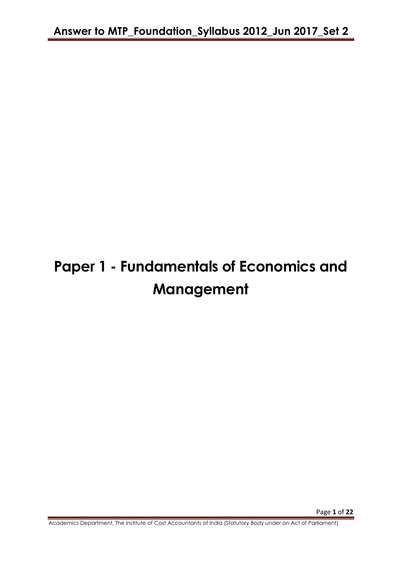# **Paper 1 - Fundamentals of Economics and Management**

Academics Department, The Institute of Cost Accountants of India (Statutory Body under an Act of Parliament)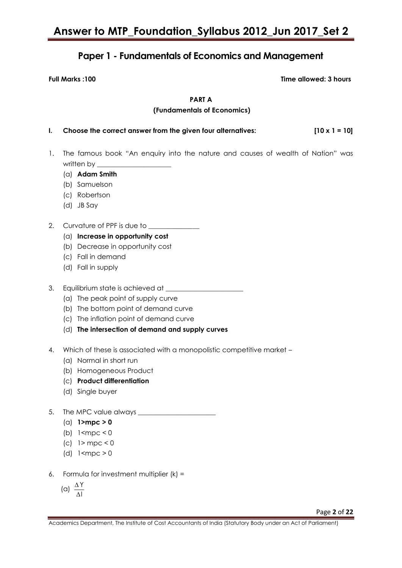# **Paper 1 - Fundamentals of Economics and Management**

**Full Marks :100 Time allowed: 3 hours**

**PART A**

#### **(Fundamentals of Economics)**

| Choose the correct answer from the given four alternatives: | $[10 \times 1 = 10]$ |
|-------------------------------------------------------------|----------------------|

- 1. The famous book "An enquiry into the nature and causes of wealth of Nation" was written by  $\_\_$ 
	- (a) **Adam Smith**
	- (b) Samuelson
	- (c) Robertson
	- (d) JB Say
- 2. Curvature of PPF is due to
	- (a) **Increase in opportunity cost**
	- (b) Decrease in opportunity cost
	- (c) Fall in demand
	- (d) Fall in supply
- 3. Equilibrium state is achieved at \_\_\_\_\_\_\_\_\_\_\_\_\_\_\_\_\_\_\_\_\_\_\_
	- (a) The peak point of supply curve
	- (b) The bottom point of demand curve
	- (c) The inflation point of demand curve
	- (d) **The intersection of demand and supply curves**
- 4. Which of these is associated with a monopolistic competitive market -
	- (a) Normal in short run
	- (b) Homogeneous Product
	- (c) **Product differentiation**
	- (d) Single buyer
- 5. The MPC value always \_\_\_\_\_\_\_\_\_\_\_\_\_\_\_\_\_\_\_\_\_\_\_
	- (a) **1>mpc > 0**
	- (b)  $1$  <mpc < 0
	- (c)  $1>$  mpc < 0
	- (d) 1<mpc > 0
- 6. Formula for investment multiplier  $(k) =$

$$
(\alpha)\ \frac{\Delta\Upsilon}{\Delta I}
$$

Page **2** of **22**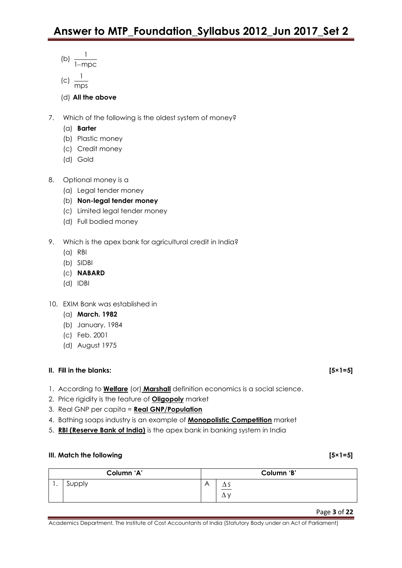- (b)  $\frac{1}{1}$  $1$ -mpc
- 
- $(c)$   $\frac{1}{1}$ mps
- (d) **All the above**
- 7. Which of the following is the oldest system of money?
	- (a) **Barter**
	- (b) Plastic money
	- (c) Credit money
	- (d) Gold
- 8. Optional money is a
	- (a) Legal tender money
	- (b) **Non-legal tender money**
	- (c) Limited legal tender money
	- (d) Full bodied money
- 9. Which is the apex bank for agricultural credit in India?
	- (a) RBI
	- (b) SIDBI
	- (c) **NABARD**
	- (d) IDBI
- 10. EXIM Bank was established in
	- (a) **March. 1982**
	- (b) January, 1984
	- (c) Feb. 2001
	- (d) August 1975

## **II. Fill in the blanks: [5×1=5]**

- 1. According to **Welfare** (or) **Marshall** definition economics is a social science.
- 2. Price rigidity is the feature of **Oligopoly** market
- 3. Real GNP per capita = **Real GNP/Population**
- 4. Bathing soaps industry is an example of **Monopolistic Competition** market
- 5. **RBI (Reserve Bank of India)** is the apex bank in banking system in India

### **III.** Match the following [5×1=5]

|     | Column 'A' |   | Column 'B' |
|-----|------------|---|------------|
| . . | Supply     | A | Δ          |

### Page **3** of **22**

Academics Department, The Institute of Cost Accountants of India (Statutory Body under an Act of Parliament)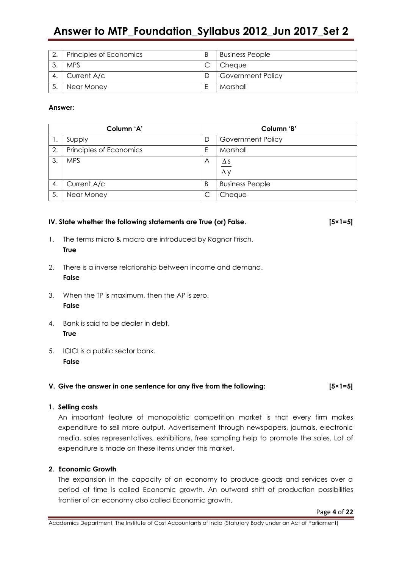# **Answer to MTP\_Foundation\_Syllabus 2012\_Jun 2017\_Set 2**

|    | Principles of Economics | B | <b>Business People</b>   |
|----|-------------------------|---|--------------------------|
|    | <b>MPS</b>              |   | Cheaue                   |
|    | Current A/c             |   | <b>Government Policy</b> |
| 5. | Near Money              | F | Marshall                 |

#### **Answer:**

| Column 'A' |                         | Column 'B' |                          |
|------------|-------------------------|------------|--------------------------|
| Ι.         | Supply                  | D          | <b>Government Policy</b> |
| 2.         | Principles of Economics | E          | Marshall                 |
| 3          | <b>MPS</b>              | A          | $\Delta$ S<br>$\Delta y$ |
| 4.         | Current A/c             | B          | <b>Business People</b>   |
| 5.         | Near Money              | C          | Cheque                   |

#### **IV. State whether the following statements are True (or) False. [5×1=5]**

- 1. The terms micro & macro are introduced by Ragnar Frisch. **True**
- 2. There is a inverse relationship between income and demand. **False**
- 3. When the TP is maximum, then the AP is zero. **False**
- 4. Bank is said to be dealer in debt. **True**
- 5. ICICI is a public sector bank. **False**

#### **V. Give the answer in one sentence for any five from the following: [5×1=5]**

#### **1. Selling costs**

An important feature of monopolistic competition market is that every firm makes expenditure to sell more output. Advertisement through newspapers, journals, electronic media, sales representatives, exhibitions, free sampling help to promote the sales. Lot of expenditure is made on these items under this market.

#### **2. Economic Growth**

The expansion in the capacity of an economy to produce goods and services over a period of time is called Economic growth. An outward shift of production possibilities frontier of an economy also called Economic growth.

Page **4** of **22**

Academics Department, The Institute of Cost Accountants of India (Statutory Body under an Act of Parliament)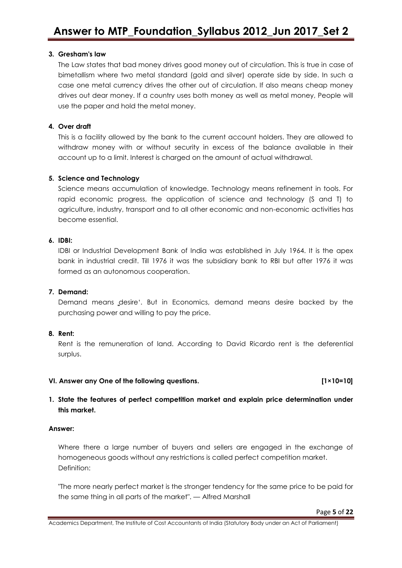#### **3. Gresham's law**

The Law states that bad money drives good money out of circulation. This is true in case of bimetallism where two metal standard (gold and silver) operate side by side. In such a case one metal currency drives the other out of circulation. If also means cheap money drives out dear money. If a country uses both money as well as metal money, People will use the paper and hold the metal money.

#### **4. Over draft**

This is a facility allowed by the bank to the current account holders. They are allowed to withdraw money with or without security in excess of the balance available in their account up to a limit. Interest is charged on the amount of actual withdrawal.

#### **5. Science and Technology**

Science means accumulation of knowledge. Technology means refinement in tools. For rapid economic progress, the application of science and technology (S and T) to agriculture, industry, transport and to all other economic and non-economic activities has become essential.

#### **6. IDBI:**

IDBI or Industrial Development Bank of India was established in July 1964. It is the apex bank in industrial credit. Till 1976 it was the subsidiary bank to RBI but after 1976 it was formed as an autonomous cooperation.

#### **7. Demand:**

Demand means desire<sup>4</sup>. But in Economics, demand means desire backed by the purchasing power and willing to pay the price.

#### **8. Rent:**

Rent is the remuneration of land. According to David Ricardo rent is the deferential surplus.

#### **VI. Answer any One of the following questions. [1×10=10]**

### **1. State the features of perfect competition market and explain price determination under this market.**

#### **Answer:**

Where there a large number of buyers and sellers are engaged in the exchange of homogeneous goods without any restrictions is called perfect competition market. Definition:

"The more nearly perfect market is the stronger tendency for the same price to be paid for the same thing in all parts of the market". — Alfred Marshall

Academics Department, The Institute of Cost Accountants of India (Statutory Body under an Act of Parliament)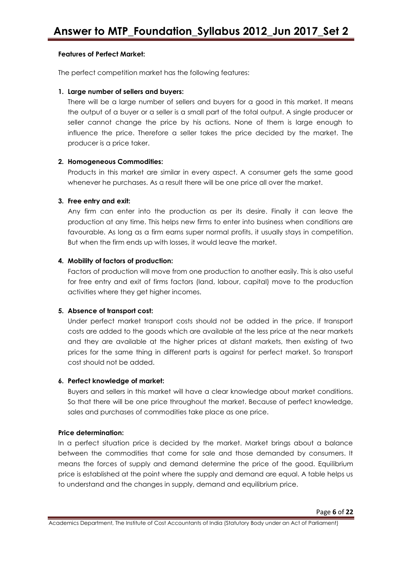#### **Features of Perfect Market:**

The perfect competition market has the following features:

#### **1. Large number of sellers and buyers:**

There will be a large number of sellers and buyers for a good in this market. It means the output of a buyer or a seller is a small part of the total output. A single producer or seller cannot change the price by his actions. None of them is large enough to influence the price. Therefore a seller takes the price decided by the market. The producer is a price taker.

#### **2. Homogeneous Commodities:**

Products in this market are similar in every aspect. A consumer gets the same good whenever he purchases. As a result there will be one price all over the market.

#### **3. Free entry and exit:**

Any firm can enter into the production as per its desire. Finally it can leave the production at any time. This helps new firms to enter into business when conditions are favourable. As long as a firm earns super normal profits, it usually stays in competition. But when the firm ends up with losses, it would leave the market.

#### **4. Mobility of factors of production:**

Factors of production will move from one production to another easily. This is also useful for free entry and exit of firms factors (land, labour, capital) move to the production activities where they get higher incomes.

#### **5. Absence of transport cost:**

Under perfect market transport costs should not be added in the price. If transport costs are added to the goods which are available at the less price at the near markets and they are available at the higher prices at distant markets, then existing of two prices for the same thing in different parts is against for perfect market. So transport cost should not be added.

#### **6. Perfect knowledge of market:**

Buyers and sellers in this market will have a clear knowledge about market conditions. So that there will be one price throughout the market. Because of perfect knowledge, sales and purchases of commodities take place as one price.

#### **Price determination:**

In a perfect situation price is decided by the market. Market brings about a balance between the commodities that come for sale and those demanded by consumers. It means the forces of supply and demand determine the price of the good. Equilibrium price is established at the point where the supply and demand are equal. A table helps us to understand and the changes in supply, demand and equilibrium price.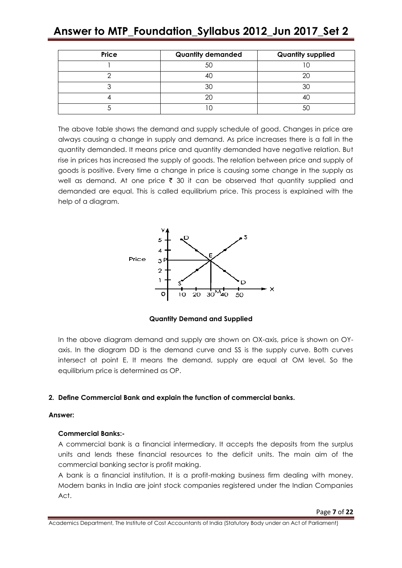# **Answer to MTP\_Foundation\_Syllabus 2012\_Jun 2017\_Set 2**

| Price | <b>Quantity demanded</b> | <b>Quantity supplied</b> |
|-------|--------------------------|--------------------------|
|       |                          |                          |
|       |                          |                          |
|       |                          |                          |
|       |                          |                          |
|       |                          |                          |

The above table shows the demand and supply schedule of good. Changes in price are always causing a change in supply and demand. As price increases there is a fall in the quantity demanded. It means price and quantity demanded have negative relation. But rise in prices has increased the supply of goods. The relation between price and supply of goods is positive. Every time a change in price is causing some change in the supply as well as demand. At one price  $\bar{\tau}$  30 it can be observed that quantity supplied and demanded are equal. This is called equilibrium price. This process is explained with the help of a diagram.



**Quantity Demand and Supplied**

In the above diagram demand and supply are shown on OX-axis, price is shown on OYaxis. In the diagram DD is the demand curve and SS is the supply curve. Both curves intersect at point E. It means the demand, supply are equal at OM level. So the equilibrium price is determined as OP.

### **2. Define Commercial Bank and explain the function of commercial banks.**

#### **Answer:**

#### **Commercial Banks:-**

A commercial bank is a financial intermediary. It accepts the deposits from the surplus units and lends these financial resources to the deficit units. The main aim of the commercial banking sector is profit making.

A bank is a financial institution. It is a profit-making business firm dealing with money. Modern banks in India are joint stock companies registered under the Indian Companies Act.

Academics Department, The Institute of Cost Accountants of India (Statutory Body under an Act of Parliament)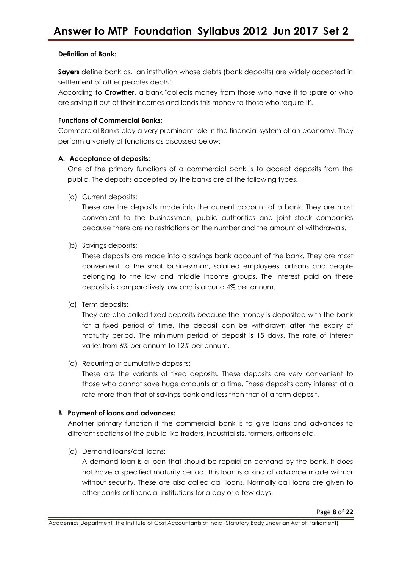#### **Definition of Bank:**

**Sayers** define bank as, "an institution whose debts (bank deposits) are widely accepted in settlement of other peoples debts".

According to **Crowther**, a bank "collects money from those who have it to spare or who are saving it out of their incomes and lends this money to those who require it'.

#### **Functions of Commercial Banks:**

Commercial Banks play a very prominent role in the financial system of an economy. They perform a variety of functions as discussed below:

#### **A. Acceptance of deposits:**

One of the primary functions of a commercial bank is to accept deposits from the public. The deposits accepted by the banks are of the following types.

(a) Current deposits:

These are the deposits made into the current account of a bank. They are most convenient to the businessmen, public authorities and joint stock companies because there are no restrictions on the number and the amount of withdrawals.

(b) Savings deposits:

These deposits are made into a savings bank account of the bank. They are most convenient to the small businessman, salaried employees, artisans and people belonging to the low and middle income groups. The interest paid on these deposits is comparatively low and is around 4% per annum.

(c) Term deposits:

They are also called fixed deposits because the money is deposited with the bank for a fixed period of time. The deposit can be withdrawn after the expiry of maturity period. The minimum period of deposit is 15 days. The rate of interest varies from 6% per annum to 12% per annum.

(d) Recurring or cumulative deposits:

These are the variants of fixed deposits. These deposits are very convenient to those who cannot save huge amounts at a time. These deposits carry interest at a rate more than that of savings bank and less than that of a term deposit.

### **B. Payment of loans and advances:**

Another primary function if the commercial bank is to give loans and advances to different sections of the public like traders, industrialists, farmers, artisans etc.

(a) Demand loans/call loans:

A demand loan is a loan that should be repaid on demand by the bank. It does not have a specified maturity period. This loan is a kind of advance made with or without security. These are also called call loans. Normally call loans are given to other banks or financial institutions for a day or a few days.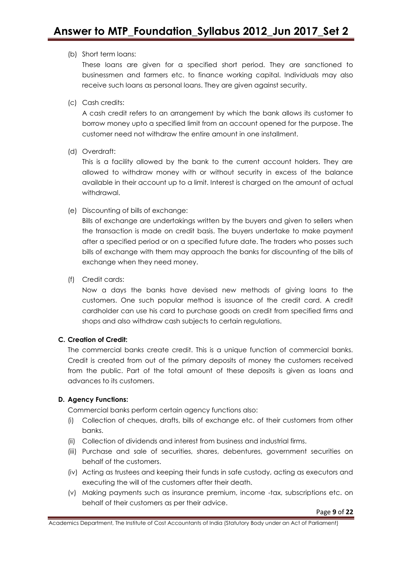#### (b) Short term loans:

These loans are given for a specified short period. They are sanctioned to businessmen and farmers etc. to finance working capital. Individuals may also receive such loans as personal loans. They are given against security.

(c) Cash credits:

A cash credit refers to an arrangement by which the bank allows its customer to borrow money upto a specified limit from an account opened for the purpose. The customer need not withdraw the entire amount in one installment.

(d) Overdraft:

This is a facility allowed by the bank to the current account holders. They are allowed to withdraw money with or without security in excess of the balance available in their account up to a limit. Interest is charged on the amount of actual withdrawal.

(e) Discounting of bills of exchange:

Bills of exchange are undertakings written by the buyers and given to sellers when the transaction is made on credit basis. The buyers undertake to make payment after a specified period or on a specified future date. The traders who posses such bills of exchange with them may approach the banks for discounting of the bills of exchange when they need money.

(f) Credit cards:

Now a days the banks have devised new methods of giving loans to the customers. One such popular method is issuance of the credit card. A credit cardholder can use his card to purchase goods on credit from specified firms and shops and also withdraw cash subjects to certain regulations.

### **C. Creation of Credit:**

The commercial banks create credit. This is a unique function of commercial banks. Credit is created from out of the primary deposits of money the customers received from the public. Part of the total amount of these deposits is given as loans and advances to its customers.

### **D. Agency Functions:**

Commercial banks perform certain agency functions also:

- (i) Collection of cheques, drafts, bills of exchange etc. of their customers from other banks.
- (ii) Collection of dividends and interest from business and industrial firms.
- (iii) Purchase and sale of securities, shares, debentures, government securities on behalf of the customers.
- (iv) Acting as trustees and keeping their funds in safe custody, acting as executors and executing the will of the customers after their death.
- (v) Making payments such as insurance premium, income -tax, subscriptions etc. on behalf of their customers as per their advice.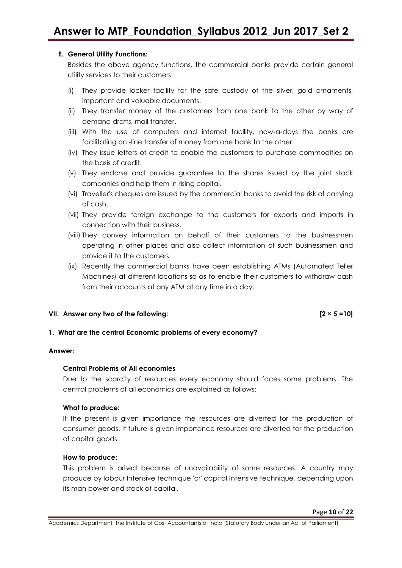#### **E. General Utility Functions:**

Besides the above agency functions, the commercial banks provide certain general utility services to their customers.

- (i) They provide locker facility for the safe custody of the silver, gold ornaments, important and valuable documents.
- (ii) They transfer money of the customers from one bank to the other by way of demand drafts, mail transfer.
- (iii) With the use of computers and internet facility, now-a-days the banks are facilitating on -line transfer of money from one bank to the other.
- (iv) They issue letters of credit to enable the customers to purchase commodities on the basis of credit.
- (v) They endorse and provide guarantee to the shares issued by the joint stock companies and help them in rising capital.
- (vi) Traveller's cheques are issued by the commercial banks to avoid the risk of carrying of cash.
- (vii) They provide foreign exchange to the customers for exports and imports in connection with their business.
- (viii) They convey information on behalf of their customers to the businessmen operating in other places and also collect information of such businessmen and provide it to the customers.
- (ix) Recently the commercial banks have been establishing ATMs (Automated Teller Machines) at different locations so as to enable their customers to withdraw cash from their accounts at any ATM at any time in a day.

#### **VII. Answer any two of the following: [2 × 5 =10]**

#### **1. What are the central Economic problems of every economy?**

#### **Answer:**

#### **Central Problems of All economies**

Due to the scarcity of resources every economy should faces some problems. The central problems of all economics are explained as follows:

#### **What to produce:**

If the present is given importance the resources are diverted for the production of consumer goods. If future is given importance resources are diverted for the production of capital goods.

#### **How to produce:**

This problem is arised because of unavailability of some resources. A country may produce by labour Intensive technique 'or' capital Intensive technique, depending upon its man power and stock of capital.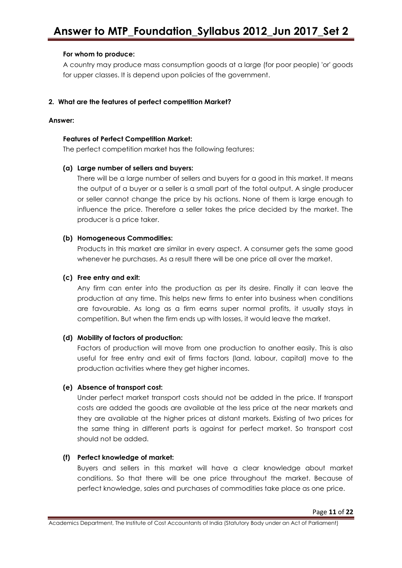#### **For whom to produce:**

A country may produce mass consumption goods at a large (for poor people) 'or' goods for upper classes. It is depend upon policies of the government.

#### **2. What are the features of perfect competition Market?**

#### **Answer:**

#### **Features of Perfect Competition Market:**

The perfect competition market has the following features:

#### **(a) Large number of sellers and buyers:**

There will be a large number of sellers and buyers for a good in this market. It means the output of a buyer or a seller is a small part of the total output. A single producer or seller cannot change the price by his actions. None of them is large enough to influence the price. Therefore a seller takes the price decided by the market. The producer is a price taker.

#### **(b) Homogeneous Commodities:**

Products in this market are similar in every aspect. A consumer gets the same good whenever he purchases. As a result there will be one price all over the market.

#### **(c) Free entry and exit:**

Any firm can enter into the production as per its desire. Finally it can leave the production at any time. This helps new firms to enter into business when conditions are favourable. As long as a firm earns super normal profits, it usually stays in competition. But when the firm ends up with losses, it would leave the market.

#### **(d) Mobility of factors of production:**

Factors of production will move from one production to another easily. This is also useful for free entry and exit of firms factors (land, labour, capital) move to the production activities where they get higher incomes.

#### **(e) Absence of transport cost:**

Under perfect market transport costs should not be added in the price. If transport costs are added the goods are available at the less price at the near markets and they are available at the higher prices at distant markets. Existing of two prices for the same thing in different parts is against for perfect market. So transport cost should not be added.

#### **(f) Perfect knowledge of market:**

Buyers and sellers in this market will have a clear knowledge about market conditions. So that there will be one price throughout the market. Because of perfect knowledge, sales and purchases of commodities take place as one price.

Academics Department, The Institute of Cost Accountants of India (Statutory Body under an Act of Parliament)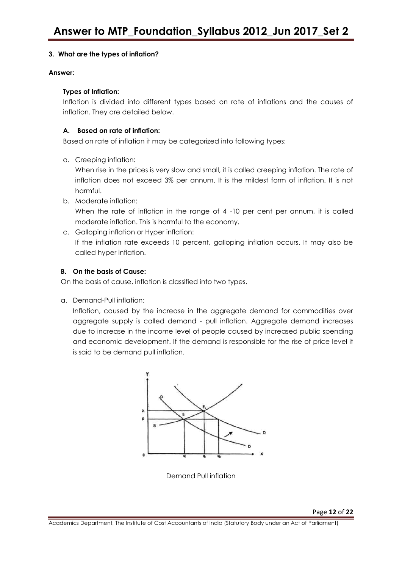#### **3. What are the types of inflation?**

#### **Answer:**

#### **Types of Inflation:**

Inflation is divided into different types based on rate of inflations and the causes of inflation. They are detailed below.

#### **A. Based on rate of inflation:**

Based on rate of inflation it may be categorized into following types:

a. Creeping inflation:

When rise in the prices is very slow and small, it is called creeping inflation. The rate of inflation does not exceed 3% per annum. It is the mildest form of inflation. It is not harmful.

- b. Moderate inflation: When the rate of inflation in the range of 4 -10 per cent per annum, it is called moderate inflation. This is harmful to the economy.
- c. Galloping inflation or Hyper inflation: If the inflation rate exceeds 10 percent, galloping inflation occurs. It may also be called hyper inflation.

### **B. On the basis of Cause:**

On the basis of cause, inflation is classified into two types.

a. Demand-Pull inflation:

Inflation, caused by the increase in the aggregate demand for commodities over aggregate supply is called demand - pull inflation. Aggregate demand increases due to increase in the income level of people caused by increased public spending and economic development. If the demand is responsible for the rise of price level it is said to be demand pull inflation.



Demand Pull inflation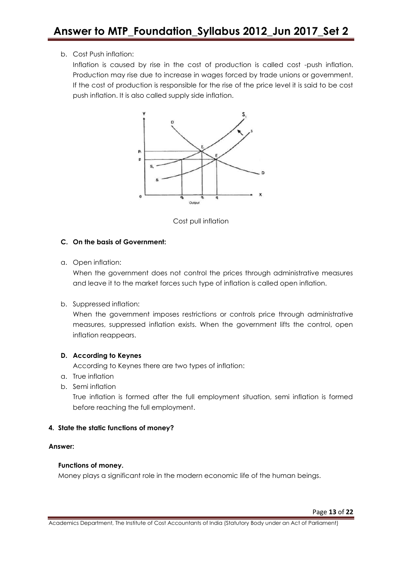#### b. Cost Push inflation:

Inflation is caused by rise in the cost of production is called cost -push inflation. Production may rise due to increase in wages forced by trade unions or government. If the cost of production is responsible for the rise of the price level it is said to be cost push inflation. It is also called supply side inflation.





#### **C. On the basis of Government:**

a. Open inflation:

When the government does not control the prices through administrative measures and leave it to the market forces such type of inflation is called open inflation.

b. Suppressed inflation:

When the government imposes restrictions or controls price through administrative measures, suppressed inflation exists. When the government lifts the control, open inflation reappears.

### **D. According to Keynes**

According to Keynes there are two types of inflation:

- a. True inflation
- b. Semi inflation

True inflation is formed after the full employment situation, semi inflation is formed before reaching the full employment.

#### **4. State the static functions of money?**

#### **Answer:**

#### **Functions of money.**

Money plays a significant role in the modern economic life of the human beings.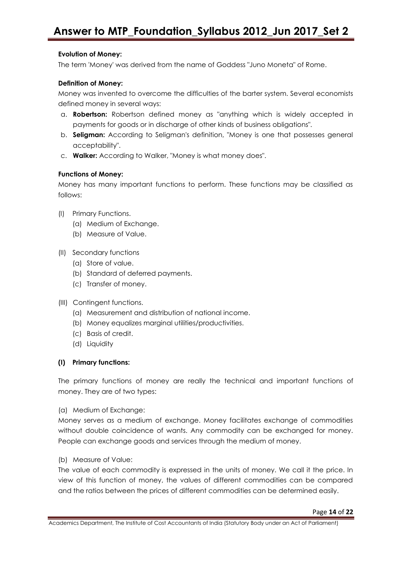#### **Evolution of Money:**

The term 'Money' was derived from the name of Goddess "Juno Moneta" of Rome.

#### **Definition of Money:**

Money was invented to overcome the difficulties of the barter system. Several economists defined money in several ways:

- a. **Robertson:** Robertson defined money as "anything which is widely accepted in payments for goods or in discharge of other kinds of business obligations".
- b. **Seligman:** According to Seligman's definition, "Money is one that possesses general acceptability".
- c. **Walker:** According to Walker, "Money is what money does".

#### **Functions of Money:**

Money has many important functions to perform. These functions may be classified as follows:

- (I) Primary Functions.
	- (a) Medium of Exchange.
	- (b) Measure of Value.
- (II) Secondary functions
	- (a) Store of value.
	- (b) Standard of deferred payments.
	- (c) Transfer of money.
- (III) Contingent functions.
	- (a) Measurement and distribution of national income.
	- (b) Money equalizes marginal utilities/productivities.
	- (c) Basis of credit.
	- (d) Liquidity

#### **(I) Primary functions:**

The primary functions of money are really the technical and important functions of money. They are of two types:

(a) Medium of Exchange:

Money serves as a medium of exchange. Money facilitates exchange of commodities without double coincidence of wants. Any commodity can be exchanged for money. People can exchange goods and services through the medium of money.

(b) Measure of Value:

The value of each commodity is expressed in the units of money. We call it the price. In view of this function of money, the values of different commodities can be compared and the ratios between the prices of different commodities can be determined easily.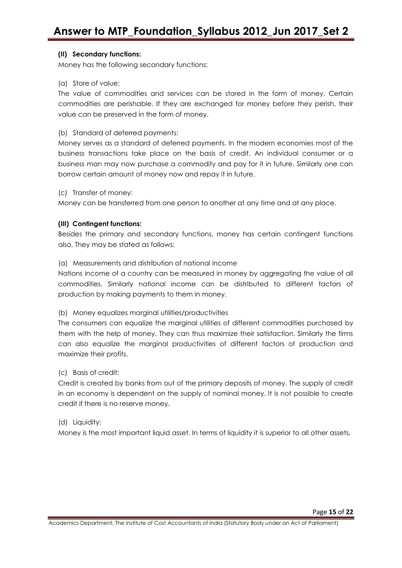#### **(II) Secondary functions:**

Money has the following secondary functions:

#### (a) Store of value:

The value of commodities and services can be stored in the form of money. Certain commodities are perishable. If they are exchanged for money before they perish, their value can be preserved in the form of money.

#### (b) Standard of deferred payments:

Money serves as a standard of deferred payments. In the modern economies most of the business transactions take place on the basis of credit. An individual consumer or a business man may now purchase a commodity and pay for it in future. Similarly one can borrow certain amount of money now and repay it in future.

#### (c) Transfer of money:

Money can be transferred from one person to another at any time and at any place.

#### **(III) Contingent functions:**

Besides the primary and secondary functions, money has certain contingent functions also. They may be stated as follows:

#### (a) Measurements and distribution of national income

Nations income of a country can be measured in money by aggregating the value of all commodities. Similarly national income can be distributed to different factors of production by making payments to them in money.

#### (b) Money equalizes marginal utilities/productivities

The consumers can equalize the marginal utilities of different commodities purchased by them with the help of money. They can thus maximize their satisfaction. Similarly the firms can also equalize the marginal productivities of different factors of production and maximize their profits.

#### (c) Basis of credit:

Credit is created by banks from out of the primary deposits of money. The supply of credit in an economy is dependent on the supply of nominal money. It is not possible to create credit if there is no reserve money.

#### (d) Liquidity:

Money is the most important liquid asset. In terms of liquidity it is superior to all other assets.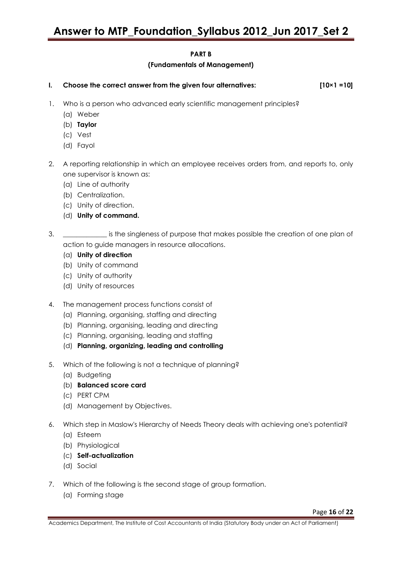#### **PART B**

#### **(Fundamentals of Management)**

- **I. Choose the correct answer from the given four alternatives: [10×1 =10]**
- 1. Who is a person who advanced early scientific management principles?
	- (a) Weber
	- (b) **Taylor**
	- (c) Vest
	- (d) Fayol
- 2. A reporting relationship in which an employee receives orders from, and reports to, only one supervisor is known as:
	- (a) Line of authority
	- (b) Centralization.
	- (c) Unity of direction.
	- (d) **Unity of command.**
- 3. \_\_\_\_\_\_\_\_\_\_\_\_\_ is the singleness of purpose that makes possible the creation of one plan of action to guide managers in resource allocations.
	- (a) **Unity of direction**
	- (b) Unity of command
	- (c) Unity of authority
	- (d) Unity of resources
- 4. The management process functions consist of
	- (a) Planning, organising, staffing and directing
	- (b) Planning, organising, leading and directing
	- (c) Planning, organising, leading and staffing
	- (d) **Planning, organizing, leading and controlling**
- 5. Which of the following is not a technique of planning?
	- (a) Budgeting
	- (b) **Balanced score card**
	- (c) PERT CPM
	- (d) Management by Objectives.
- 6. Which step in Maslow's Hierarchy of Needs Theory deals with achieving one's potential?
	- (a) Esteem
	- (b) Physiological
	- (c) **Self-actualization**
	- (d) Social
- 7. Which of the following is the second stage of group formation.
	- (a) Forming stage

Academics Department, The Institute of Cost Accountants of India (Statutory Body under an Act of Parliament)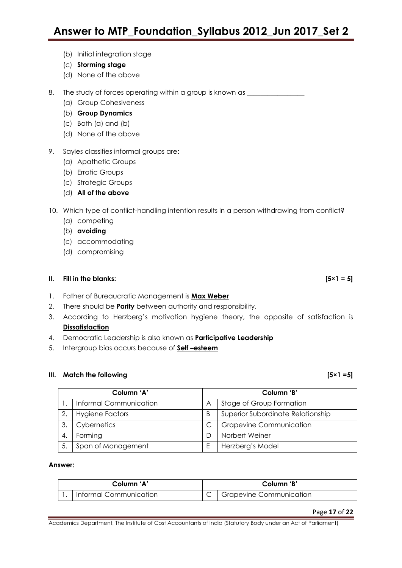- (b) Initial integration stage
- (c) **Storming stage**
- (d) None of the above

8. The study of forces operating within a group is known as \_\_\_\_\_\_\_\_\_\_\_\_\_\_\_\_\_\_\_\_

- (a) Group Cohesiveness
- (b) **Group Dynamics**
- (c) Both (a) and (b)
- (d) None of the above

#### 9. Sayles classifies informal groups are:

- (a) Apathetic Groups
- (b) Erratic Groups
- (c) Strategic Groups
- (d) **All of the above**

10. Which type of conflict-handling intention results in a person withdrawing from conflict?

- (a) competing
- (b) **avoiding**
- (c) accommodating
- (d) compromising

#### **II. Fill in the blanks:**  $[5 \times 1 = 5]$

- 1. Father of Bureaucratic Management is **Max Weber**
- 2. There should be **Parity** between authority and responsibility.
- 3. According to Herzberg's motivation hygiene theory, the opposite of satisfaction is **Dissatisfaction**
- 4. Democratic Leadership is also known as **Participative Leadership**
- 5. Intergroup bias occurs because of **Self –esteem**

#### **III.** Match the following

|  | I |
|--|---|
|--|---|

| Column 'A' |                        | Column 'B' |                                   |
|------------|------------------------|------------|-----------------------------------|
|            | Informal Communication | Α          | Stage of Group Formation          |
| 2.         | <b>Hygiene Factors</b> | B          | Superior Subordinate Relationship |
| 3.         | Cybernetics            |            | <b>Grapevine Communication</b>    |
|            | Forming                |            | Norbert Weiner                    |
|            | Span of Management     | F          | Herzberg's Model                  |

#### **Answer:**

| Column 'A'             |  | Column 'B'                           |  |
|------------------------|--|--------------------------------------|--|
| Informal Communication |  | <sup>1</sup> Grapevine Communication |  |

Academics Department, The Institute of Cost Accountants of India (Statutory Body under an Act of Parliament)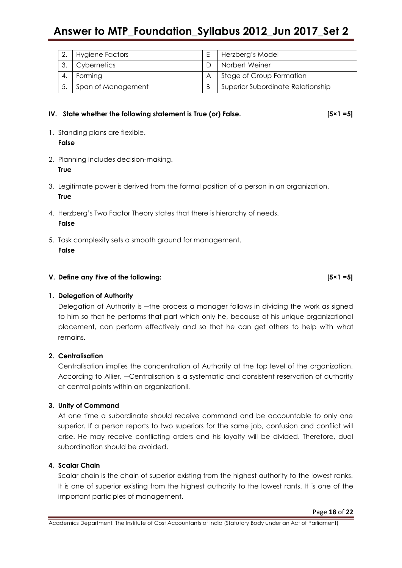# **Answer to MTP\_Foundation\_Syllabus 2012\_Jun 2017\_Set 2**

| Hygiene Factors    | Herzberg's Model                  |
|--------------------|-----------------------------------|
| Cybernetics        | Norbert Weiner                    |
| Forming            | Stage of Group Formation          |
| Span of Management | Superior Subordinate Relationship |

#### IV. State whether the following statement is True (or) False. **[5×1 =5]**

- 1. Standing plans are flexible. **False**
- 2. Planning includes decision-making. **True**
- 3. Legitimate power is derived from the formal position of a person in an organization. **True**
- 4. Herzberg's Two Factor Theory states that there is hierarchy of needs. **False**
- 5. Task complexity sets a smooth ground for management. **False**

#### **V. Define any Five of the following: [5×1 =5]**

### **1. Delegation of Authority**

Delegation of Authority is —the process a manager follows in dividing the work as signed to him so that he performs that part which only he, because of his unique organizational placement, can perform effectively and so that he can get others to help with what remains.

#### **2. Centralisation**

Centralisation implies the concentration of Authority at the top level of the organization. According to Allier, ―Centralisation is a systematic and consistent reservation of authority at central points within an organization‖.

#### **3. Unity of Command**

At one time a subordinate should receive command and be accountable to only one superior. If a person reports to two superiors for the same job, confusion and conflict will arise. He may receive conflicting orders and his loyalty will be divided. Therefore, dual subordination should be avoided.

#### **4. Scalar Chain**

Scalar chain is the chain of superior existing from the highest authority to the lowest ranks. It is one of superior existing from the highest authority to the lowest rants. It is one of the important participles of management.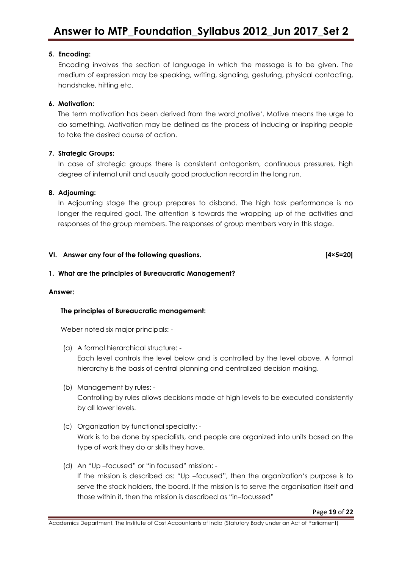#### **5. Encoding:**

Encoding involves the section of language in which the message is to be given. The medium of expression may be speaking, writing, signaling, gesturing, physical contacting, handshake, hitting etc.

#### **6. Motivation:**

The term motivation has been derived from the word motive<sup>4</sup>. Motive means the urge to do something. Motivation may be defined as the process of inducing or inspiring people to take the desired course of action.

#### **7. Strategic Groups:**

In case of strategic groups there is consistent antagonism, continuous pressures, high degree of internal unit and usually good production record in the long run.

#### **8. Adjourning:**

In Adjourning stage the group prepares to disband. The high task performance is no longer the required goal. The attention is towards the wrapping up of the activities and responses of the group members. The responses of group members vary in this stage.

#### **VI. Answer any four of the following questions. [4×5=20]**

#### **1. What are the principles of Bureaucratic Management?**

#### **Answer:**

#### **The principles of Bureaucratic management:**

Weber noted six major principals: -

- (a) A formal hierarchical structure: Each level controls the level below and is controlled by the level above. A formal hierarchy is the basis of central planning and centralized decision making.
- (b) Management by rules: Controlling by rules allows decisions made at high levels to be executed consistently by all lower levels.
- (c) Organization by functional specialty: Work is to be done by specialists, and people are organized into units based on the type of work they do or skills they have.
- (d) An "Up-focused" or "in focused" mission: -If the mission is described as: "Up -focused", then the organization's purpose is to serve the stock holders, the board. If the mission is to serve the organisation itself and those within it, then the mission is described as "in-focussed"

Academics Department, The Institute of Cost Accountants of India (Statutory Body under an Act of Parliament)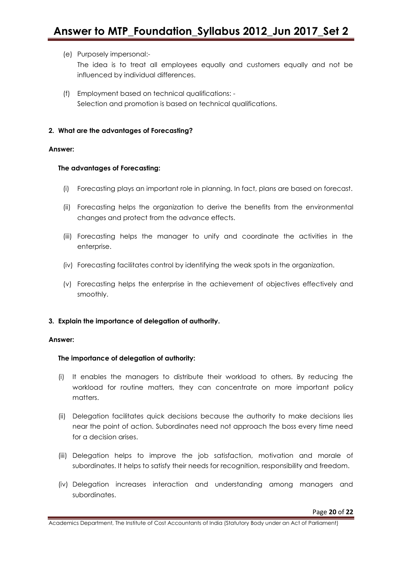#### (e) Purposely impersonal:-

The idea is to treat all employees equally and customers equally and not be influenced by individual differences.

(f) Employment based on technical qualifications: - Selection and promotion is based on technical qualifications.

#### **2. What are the advantages of Forecasting?**

#### **Answer:**

#### **The advantages of Forecasting:**

- (i) Forecasting plays an important role in planning. In fact, plans are based on forecast.
- (ii) Forecasting helps the organization to derive the benefits from the environmental changes and protect from the advance effects.
- (iii) Forecasting helps the manager to unify and coordinate the activities in the enterprise.
- (iv) Forecasting facilitates control by identifying the weak spots in the organization.
- (v) Forecasting helps the enterprise in the achievement of objectives effectively and smoothly.

#### **3. Explain the importance of delegation of authority.**

#### **Answer:**

#### **The importance of delegation of authority:**

- (i) It enables the managers to distribute their workload to others. By reducing the workload for routine matters, they can concentrate on more important policy matters.
- (ii) Delegation facilitates quick decisions because the authority to make decisions lies near the point of action. Subordinates need not approach the boss every time need for a decision arises.
- (iii) Delegation helps to improve the job satisfaction, motivation and morale of subordinates. It helps to satisfy their needs for recognition, responsibility and freedom.
- (iv) Delegation increases interaction and understanding among managers and subordinates.

Academics Department, The Institute of Cost Accountants of India (Statutory Body under an Act of Parliament)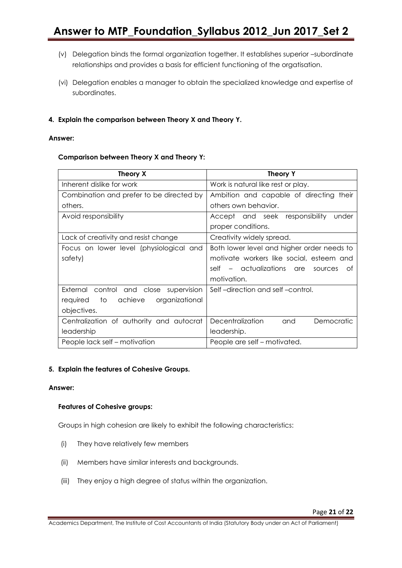- (v) Delegation binds the formal organization together. It establishes superior –subordinate relationships and provides a basis for efficient functioning of the orgatisation.
- (vi) Delegation enables a manager to obtain the specialized knowledge and expertise of subordinates.

#### **4. Explain the comparison between Theory X and Theory Y.**

#### **Answer:**

#### **Comparison between Theory X and Theory Y:**

| Theory X                                    | <b>Theory Y</b>                              |
|---------------------------------------------|----------------------------------------------|
| Inherent dislike for work                   | Work is natural like rest or play.           |
| Combination and prefer to be directed by    | Ambition and capable of directing their      |
| others.                                     | others own behavior.                         |
| Avoid responsibility                        | Accept and seek responsibility<br>under      |
|                                             | proper conditions.                           |
| Lack of creativity and resist change        | Creativity widely spread.                    |
| Focus on lower level (physiological and     | Both lower level and higher order needs to   |
| safety)                                     | motivate workers like social, esteem and     |
|                                             | self – actualizations are<br>sources<br>0t   |
|                                             | motivation.                                  |
| External control and close supervision      | Self-direction and self-control.             |
| achieve<br>to<br>organizational<br>required |                                              |
| objectives.                                 |                                              |
| Centralization of authority and autocrat    | <b>Decentralization</b><br>and<br>Democratic |
| leadership                                  | leadership.                                  |
| People lack self – motivation               | People are self - motivated.                 |

#### **5. Explain the features of Cohesive Groups.**

#### **Answer:**

#### **Features of Cohesive groups:**

Groups in high cohesion are likely to exhibit the following characteristics:

- (i) They have relatively few members
- (ii) Members have similar interests and backgrounds.
- (iii) They enjoy a high degree of status within the organization.

Academics Department, The Institute of Cost Accountants of India (Statutory Body under an Act of Parliament)